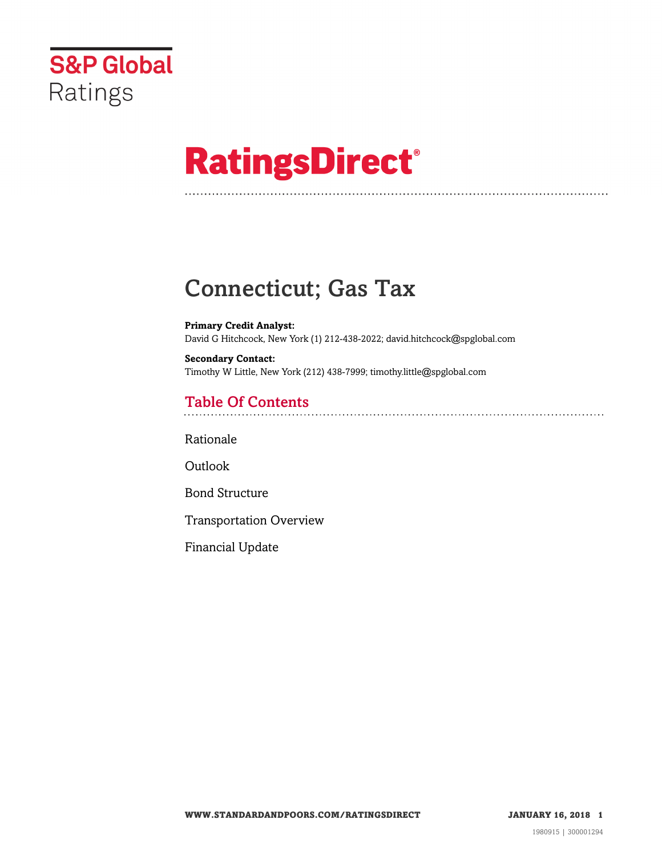

# **RatingsDirect®**

### Connecticut; Gas Tax

**Primary Credit Analyst:** David G Hitchcock, New York (1) 212-438-2022; david.hitchcock@spglobal.com

**Secondary Contact:** Timothy W Little, New York (212) 438-7999; timothy.little@spglobal.com

### Table Of Contents

[Rationale](#page-1-0)

**[Outlook](#page-3-0)** 

[Bond Structure](#page-4-0)

[Transportation Overview](#page-5-0)

[Financial Update](#page-5-1)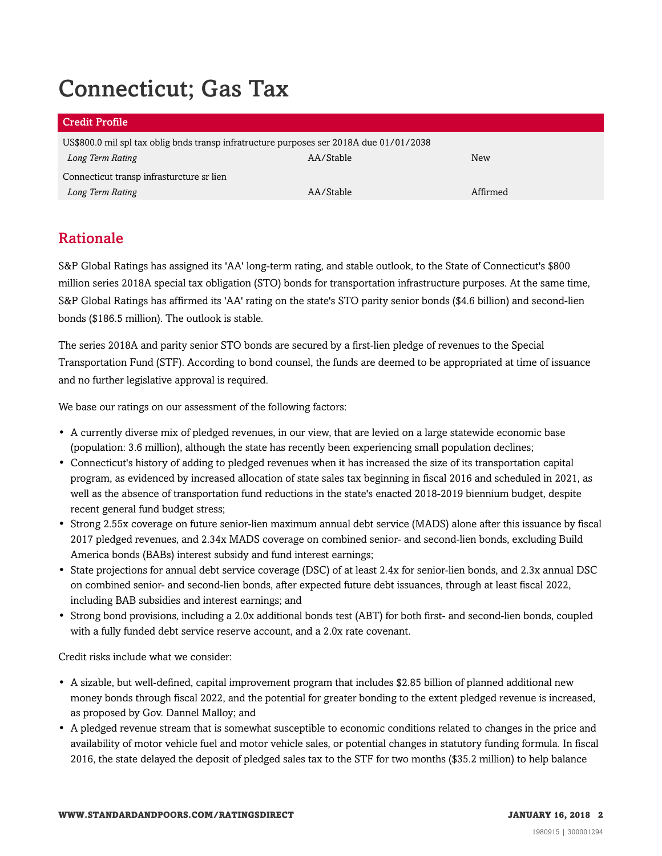## Connecticut; Gas Tax

#### Credit Profile

US\$800.0 mil spl tax oblig bnds transp infratructure purposes ser 2018A due 01/01/2038 *Long Term Rating* AA/Stable New Connecticut transp infrasturcture sr lien *Long Term Rating* AA/Stable Affirmed

### <span id="page-1-0"></span>Rationale

S&P Global Ratings has assigned its 'AA' long-term rating, and stable outlook, to the State of Connecticut's \$800 million series 2018A special tax obligation (STO) bonds for transportation infrastructure purposes. At the same time, S&P Global Ratings has affirmed its 'AA' rating on the state's STO parity senior bonds (\$4.6 billion) and second-lien bonds (\$186.5 million). The outlook is stable.

The series 2018A and parity senior STO bonds are secured by a first-lien pledge of revenues to the Special Transportation Fund (STF). According to bond counsel, the funds are deemed to be appropriated at time of issuance and no further legislative approval is required.

We base our ratings on our assessment of the following factors:

- A currently diverse mix of pledged revenues, in our view, that are levied on a large statewide economic base (population: 3.6 million), although the state has recently been experiencing small population declines;
- Connecticut's history of adding to pledged revenues when it has increased the size of its transportation capital program, as evidenced by increased allocation of state sales tax beginning in fiscal 2016 and scheduled in 2021, as well as the absence of transportation fund reductions in the state's enacted 2018-2019 biennium budget, despite recent general fund budget stress;
- Strong 2.55x coverage on future senior-lien maximum annual debt service (MADS) alone after this issuance by fiscal 2017 pledged revenues, and 2.34x MADS coverage on combined senior- and second-lien bonds, excluding Build America bonds (BABs) interest subsidy and fund interest earnings;
- State projections for annual debt service coverage (DSC) of at least 2.4x for senior-lien bonds, and 2.3x annual DSC on combined senior- and second-lien bonds, after expected future debt issuances, through at least fiscal 2022, including BAB subsidies and interest earnings; and
- Strong bond provisions, including a 2.0x additional bonds test (ABT) for both first- and second-lien bonds, coupled with a fully funded debt service reserve account, and a 2.0x rate covenant.

Credit risks include what we consider:

- A sizable, but well-defined, capital improvement program that includes \$2.85 billion of planned additional new money bonds through fiscal 2022, and the potential for greater bonding to the extent pledged revenue is increased, as proposed by Gov. Dannel Malloy; and
- A pledged revenue stream that is somewhat susceptible to economic conditions related to changes in the price and availability of motor vehicle fuel and motor vehicle sales, or potential changes in statutory funding formula. In fiscal 2016, the state delayed the deposit of pledged sales tax to the STF for two months (\$35.2 million) to help balance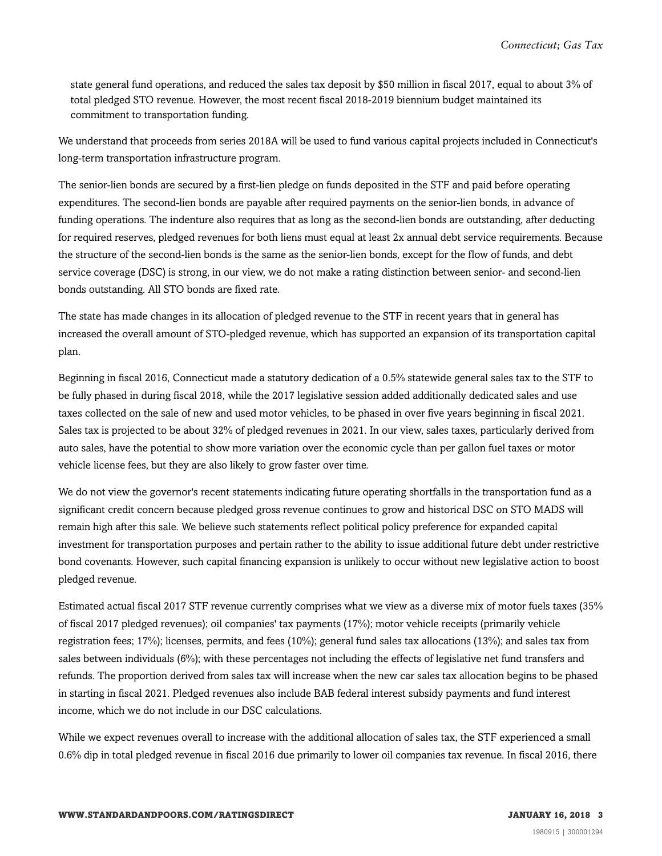state general fund operations, and reduced the sales tax deposit by \$50 million in fiscal 2017, equal to about 3% of total pledged STO revenue. However, the most recent fiscal 2018-2019 biennium budget maintained its commitment to transportation funding.

We understand that proceeds from series 2018A will be used to fund various capital projects included in Connecticut's long-term transportation infrastructure program.

The senior-lien bonds are secured by a first-lien pledge on funds deposited in the STF and paid before operating expenditures. The second-lien bonds are payable after required payments on the senior-lien bonds, in advance of funding operations. The indenture also requires that as long as the second-lien bonds are outstanding, after deducting for required reserves, pledged revenues for both liens must equal at least 2x annual debt service requirements. Because the structure of the second-lien bonds is the same as the senior-lien bonds, except for the flow of funds, and debt service coverage (DSC) is strong, in our view, we do not make a rating distinction between senior- and second-lien bonds outstanding. All STO bonds are fixed rate.

The state has made changes in its allocation of pledged revenue to the STF in recent years that in general has increased the overall amount of STO-pledged revenue, which has supported an expansion of its transportation capital plan.

Beginning in fiscal 2016, Connecticut made a statutory dedication of a 0.5% statewide general sales tax to the STF to be fully phased in during fiscal 2018, while the 2017 legislative session added additionally dedicated sales and use taxes collected on the sale of new and used motor vehicles, to be phased in over five years beginning in fiscal 2021. Sales tax is projected to be about 32% of pledged revenues in 2021. In our view, sales taxes, particularly derived from auto sales, have the potential to show more variation over the economic cycle than per gallon fuel taxes or motor vehicle license fees, but they are also likely to grow faster over time.

We do not view the governor's recent statements indicating future operating shortfalls in the transportation fund as a significant credit concern because pledged gross revenue continues to grow and historical DSC on STO MADS will remain high after this sale. We believe such statements reflect political policy preference for expanded capital investment for transportation purposes and pertain rather to the ability to issue additional future debt under restrictive bond covenants. However, such capital financing expansion is unlikely to occur without new legislative action to boost pledged revenue.

Estimated actual fiscal 2017 STF revenue currently comprises what we view as a diverse mix of motor fuels taxes (35% of fiscal 2017 pledged revenues); oil companies' tax payments (17%); motor vehicle receipts (primarily vehicle registration fees; 17%); licenses, permits, and fees (10%); general fund sales tax allocations (13%); and sales tax from sales between individuals (6%); with these percentages not including the effects of legislative net fund transfers and refunds. The proportion derived from sales tax will increase when the new car sales tax allocation begins to be phased in starting in fiscal 2021. Pledged revenues also include BAB federal interest subsidy payments and fund interest income, which we do not include in our DSC calculations.

While we expect revenues overall to increase with the additional allocation of sales tax, the STF experienced a small 0.6% dip in total pledged revenue in fiscal 2016 due primarily to lower oil companies tax revenue. In fiscal 2016, there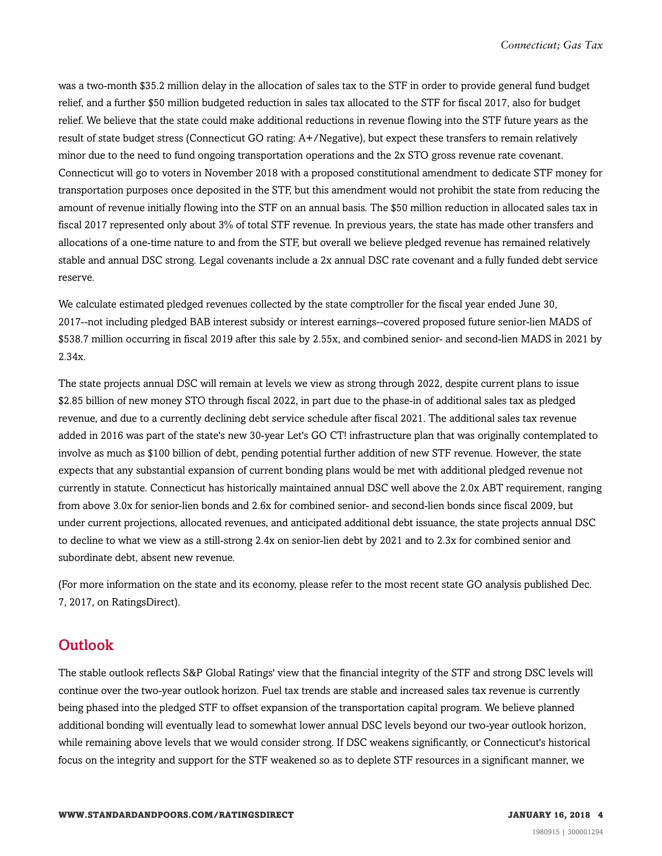was a two-month \$35.2 million delay in the allocation of sales tax to the STF in order to provide general fund budget relief, and a further \$50 million budgeted reduction in sales tax allocated to the STF for fiscal 2017, also for budget relief. We believe that the state could make additional reductions in revenue flowing into the STF future years as the result of state budget stress (Connecticut GO rating: A+/Negative), but expect these transfers to remain relatively minor due to the need to fund ongoing transportation operations and the 2x STO gross revenue rate covenant. Connecticut will go to voters in November 2018 with a proposed constitutional amendment to dedicate STF money for transportation purposes once deposited in the STF, but this amendment would not prohibit the state from reducing the amount of revenue initially flowing into the STF on an annual basis. The \$50 million reduction in allocated sales tax in fiscal 2017 represented only about 3% of total STF revenue. In previous years, the state has made other transfers and allocations of a one-time nature to and from the STF, but overall we believe pledged revenue has remained relatively stable and annual DSC strong. Legal covenants include a 2x annual DSC rate covenant and a fully funded debt service reserve.

We calculate estimated pledged revenues collected by the state comptroller for the fiscal year ended June 30, 2017--not including pledged BAB interest subsidy or interest earnings--covered proposed future senior-lien MADS of \$538.7 million occurring in fiscal 2019 after this sale by 2.55x, and combined senior- and second-lien MADS in 2021 by 2.34x.

The state projects annual DSC will remain at levels we view as strong through 2022, despite current plans to issue \$2.85 billion of new money STO through fiscal 2022, in part due to the phase-in of additional sales tax as pledged revenue, and due to a currently declining debt service schedule after fiscal 2021. The additional sales tax revenue added in 2016 was part of the state's new 30-year Let's GO CT! infrastructure plan that was originally contemplated to involve as much as \$100 billion of debt, pending potential further addition of new STF revenue. However, the state expects that any substantial expansion of current bonding plans would be met with additional pledged revenue not currently in statute. Connecticut has historically maintained annual DSC well above the 2.0x ABT requirement, ranging from above 3.0x for senior-lien bonds and 2.6x for combined senior- and second-lien bonds since fiscal 2009, but under current projections, allocated revenues, and anticipated additional debt issuance, the state projects annual DSC to decline to what we view as a still-strong 2.4x on senior-lien debt by 2021 and to 2.3x for combined senior and subordinate debt, absent new revenue.

(For more information on the state and its economy, please refer to the most recent state GO analysis published Dec. 7, 2017, on RatingsDirect).

#### <span id="page-3-0"></span>**Outlook**

The stable outlook reflects S&P Global Ratings' view that the financial integrity of the STF and strong DSC levels will continue over the two-year outlook horizon. Fuel tax trends are stable and increased sales tax revenue is currently being phased into the pledged STF to offset expansion of the transportation capital program. We believe planned additional bonding will eventually lead to somewhat lower annual DSC levels beyond our two-year outlook horizon, while remaining above levels that we would consider strong. If DSC weakens significantly, or Connecticut's historical focus on the integrity and support for the STF weakened so as to deplete STF resources in a significant manner, we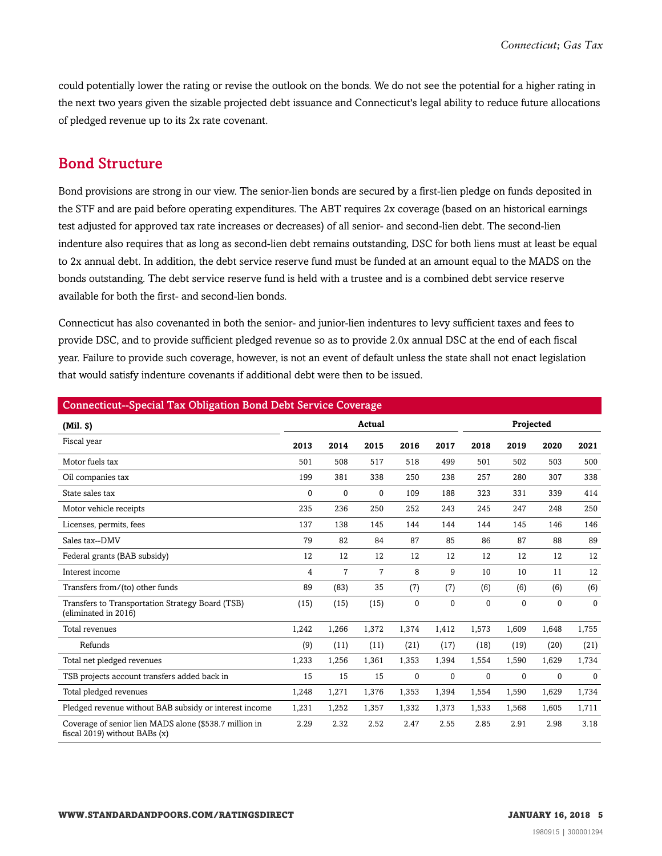could potentially lower the rating or revise the outlook on the bonds. We do not see the potential for a higher rating in the next two years given the sizable projected debt issuance and Connecticut's legal ability to reduce future allocations of pledged revenue up to its 2x rate covenant.

#### <span id="page-4-0"></span>Bond Structure

Bond provisions are strong in our view. The senior-lien bonds are secured by a first-lien pledge on funds deposited in the STF and are paid before operating expenditures. The ABT requires 2x coverage (based on an historical earnings test adjusted for approved tax rate increases or decreases) of all senior- and second-lien debt. The second-lien indenture also requires that as long as second-lien debt remains outstanding, DSC for both liens must at least be equal to 2x annual debt. In addition, the debt service reserve fund must be funded at an amount equal to the MADS on the bonds outstanding. The debt service reserve fund is held with a trustee and is a combined debt service reserve available for both the first- and second-lien bonds.

Connecticut has also covenanted in both the senior- and junior-lien indentures to levy sufficient taxes and fees to provide DSC, and to provide sufficient pledged revenue so as to provide 2.0x annual DSC at the end of each fiscal year. Failure to provide such coverage, however, is not an event of default unless the state shall not enact legislation that would satisfy indenture covenants if additional debt were then to be issued.

| <b>Connecticut--Special Tax Obligation Bond Debt Service Coverage</b>                     |        |                |       |             |              |       |              |              |              |
|-------------------------------------------------------------------------------------------|--------|----------------|-------|-------------|--------------|-------|--------------|--------------|--------------|
| (Mil. S)                                                                                  | Actual |                |       |             | Projected    |       |              |              |              |
| Fiscal year                                                                               | 2013   | 2014           | 2015  | 2016        | 2017         | 2018  | 2019         | 2020         | 2021         |
| Motor fuels tax                                                                           | 501    | 508            | 517   | 518         | 499          | 501   | 502          | 503          | 500          |
| Oil companies tax                                                                         | 199    | 381            | 338   | 250         | 238          | 257   | 280          | 307          | 338          |
| State sales tax                                                                           | 0      | $\mathbf{0}$   | 0     | 109         | 188          | 323   | 331          | 339          | 414          |
| Motor vehicle receipts                                                                    | 235    | 236            | 250   | 252         | 243          | 245   | 247          | 248          | 250          |
| Licenses, permits, fees                                                                   | 137    | 138            | 145   | 144         | 144          | 144   | 145          | 146          | 146          |
| Sales tax--DMV                                                                            | 79     | 82             | 84    | 87          | 85           | 86    | 87           | 88           | 89           |
| Federal grants (BAB subsidy)                                                              | 12     | 12             | 12    | 12          | 12           | 12    | 12           | 12           | 12           |
| Interest income                                                                           | 4      | $\overline{7}$ | 7     | 8           | 9            | 10    | 10           | 11           | 12           |
| Transfers from/(to) other funds                                                           | 89     | (83)           | 35    | (7)         | (7)          | (6)   | (6)          | (6)          | (6)          |
| Transfers to Transportation Strategy Board (TSB)<br>(eliminated in 2016)                  | (15)   | (15)           | (15)  | $\mathbf 0$ | $\mathbf{0}$ | 0     | $\mathbf{0}$ | $\Omega$     | $\Omega$     |
| Total revenues                                                                            | 1,242  | 1,266          | 1,372 | 1,374       | 1,412        | 1,573 | 1,609        | 1,648        | 1,755        |
| Refunds                                                                                   | (9)    | (11)           | (11)  | (21)        | (17)         | (18)  | (19)         | (20)         | (21)         |
| Total net pledged revenues                                                                | 1,233  | 1,256          | 1,361 | 1,353       | 1,394        | 1,554 | 1,590        | 1,629        | 1,734        |
| TSB projects account transfers added back in                                              | 15     | 15             | 15    | 0           | $\mathbf{0}$ | 0     | $\mathbf{0}$ | $\mathbf{0}$ | $\mathbf{0}$ |
| Total pledged revenues                                                                    | 1,248  | 1,271          | 1,376 | 1,353       | 1,394        | 1,554 | 1,590        | 1,629        | 1,734        |
| Pledged revenue without BAB subsidy or interest income                                    | 1,231  | 1,252          | 1,357 | 1,332       | 1,373        | 1,533 | 1,568        | 1,605        | 1,711        |
| Coverage of senior lien MADS alone (\$538.7 million in<br>fiscal 2019) without BABs $(x)$ | 2.29   | 2.32           | 2.52  | 2.47        | 2.55         | 2.85  | 2.91         | 2.98         | 3.18         |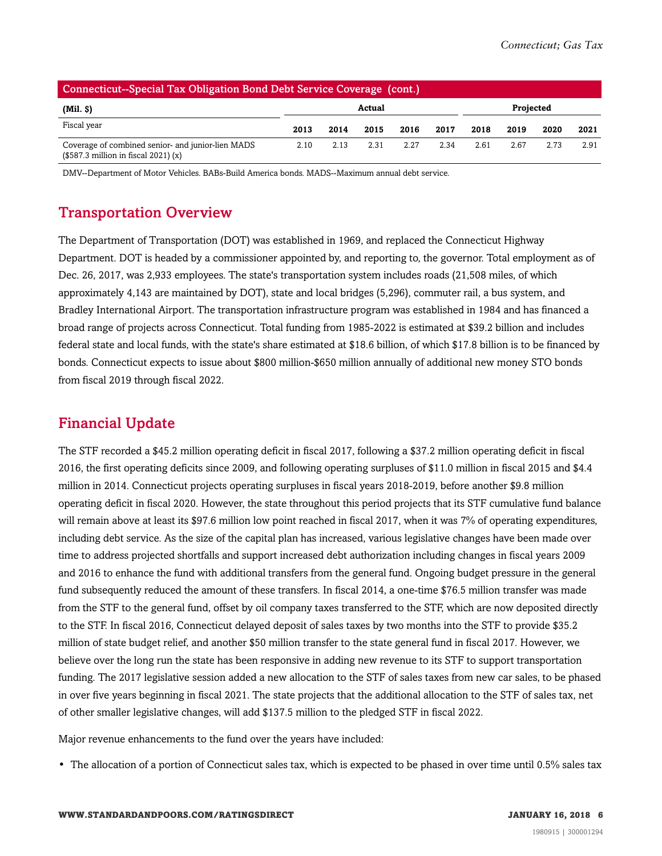| (Connecticut--Special Tax Obligation Bond Debt Service Coverage (cont.)                     |                     |      |      |      |      |      |      |      |      |
|---------------------------------------------------------------------------------------------|---------------------|------|------|------|------|------|------|------|------|
| $(Mil.$ \$)                                                                                 | Projected<br>Actual |      |      |      |      |      |      |      |      |
| Fiscal year                                                                                 | 2013                | 2014 | 2015 | 2016 | 2017 | 2018 | 2019 | 2020 | 2021 |
| Coverage of combined senior- and junior-lien MADS<br>$($587.3$ million in fiscal $2021$ (x) | 2.10                | 2.13 | 2.31 | 2.27 | 2.34 | 2.61 | 2.67 | 2.73 | 2.91 |

<span id="page-5-0"></span>DMV--Department of Motor Vehicles. BABs-Build America bonds. MADS--Maximum annual debt service.

### Transportation Overview

The Department of Transportation (DOT) was established in 1969, and replaced the Connecticut Highway Department. DOT is headed by a commissioner appointed by, and reporting to, the governor. Total employment as of Dec. 26, 2017, was 2,933 employees. The state's transportation system includes roads (21,508 miles, of which approximately 4,143 are maintained by DOT), state and local bridges (5,296), commuter rail, a bus system, and Bradley International Airport. The transportation infrastructure program was established in 1984 and has financed a broad range of projects across Connecticut. Total funding from 1985-2022 is estimated at \$39.2 billion and includes federal state and local funds, with the state's share estimated at \$18.6 billion, of which \$17.8 billion is to be financed by bonds. Connecticut expects to issue about \$800 million-\$650 million annually of additional new money STO bonds from fiscal 2019 through fiscal 2022.

#### <span id="page-5-1"></span>Financial Update

The STF recorded a \$45.2 million operating deficit in fiscal 2017, following a \$37.2 million operating deficit in fiscal 2016, the first operating deficits since 2009, and following operating surpluses of \$11.0 million in fiscal 2015 and \$4.4 million in 2014. Connecticut projects operating surpluses in fiscal years 2018-2019, before another \$9.8 million operating deficit in fiscal 2020. However, the state throughout this period projects that its STF cumulative fund balance will remain above at least its \$97.6 million low point reached in fiscal 2017, when it was 7% of operating expenditures, including debt service. As the size of the capital plan has increased, various legislative changes have been made over time to address projected shortfalls and support increased debt authorization including changes in fiscal years 2009 and 2016 to enhance the fund with additional transfers from the general fund. Ongoing budget pressure in the general fund subsequently reduced the amount of these transfers. In fiscal 2014, a one-time \$76.5 million transfer was made from the STF to the general fund, offset by oil company taxes transferred to the STF, which are now deposited directly to the STF. In fiscal 2016, Connecticut delayed deposit of sales taxes by two months into the STF to provide \$35.2 million of state budget relief, and another \$50 million transfer to the state general fund in fiscal 2017. However, we believe over the long run the state has been responsive in adding new revenue to its STF to support transportation funding. The 2017 legislative session added a new allocation to the STF of sales taxes from new car sales, to be phased in over five years beginning in fiscal 2021. The state projects that the additional allocation to the STF of sales tax, net of other smaller legislative changes, will add \$137.5 million to the pledged STF in fiscal 2022.

Major revenue enhancements to the fund over the years have included:

• The allocation of a portion of Connecticut sales tax, which is expected to be phased in over time until 0.5% sales tax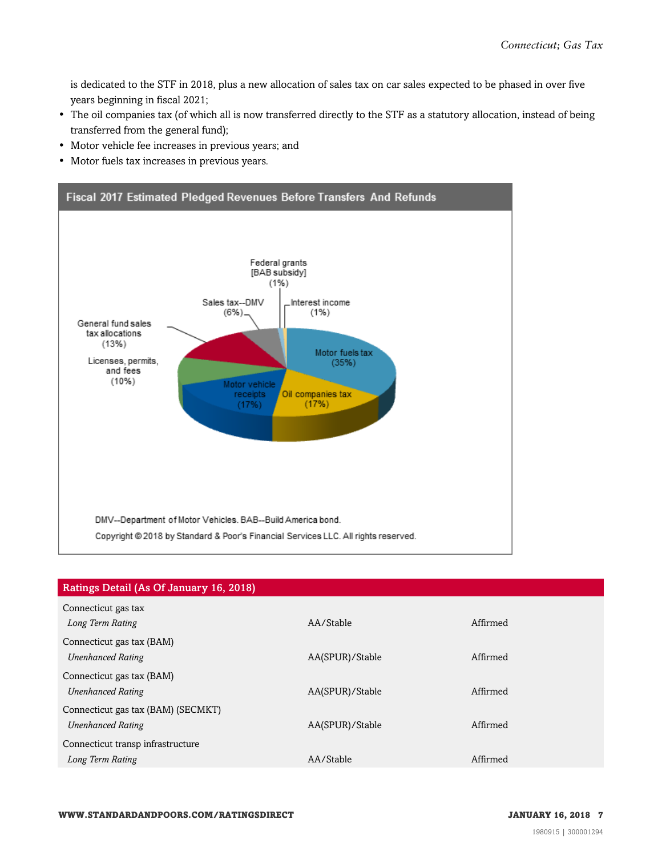is dedicated to the STF in 2018, plus a new allocation of sales tax on car sales expected to be phased in over five years beginning in fiscal 2021;

- The oil companies tax (of which all is now transferred directly to the STF as a statutory allocation, instead of being transferred from the general fund);
- Motor vehicle fee increases in previous years; and
- Motor fuels tax increases in previous years.



| Ratings Detail (As Of January 16, 2018) |                 |          |
|-----------------------------------------|-----------------|----------|
| Connecticut gas tax                     |                 |          |
| Long Term Rating                        | AA/Stable       | Affirmed |
| Connecticut gas tax (BAM)               |                 |          |
| <b>Unenhanced Rating</b>                | AA(SPUR)/Stable | Affirmed |
| Connecticut gas tax (BAM)               |                 |          |
| <b>Unenhanced Rating</b>                | AA(SPUR)/Stable | Affirmed |
| Connecticut gas tax (BAM) (SECMKT)      |                 |          |
| <b>Unenhanced Rating</b>                | AA(SPUR)/Stable | Affirmed |
| Connecticut transp infrastructure       |                 |          |
| Long Term Rating                        | AA/Stable       | Affirmed |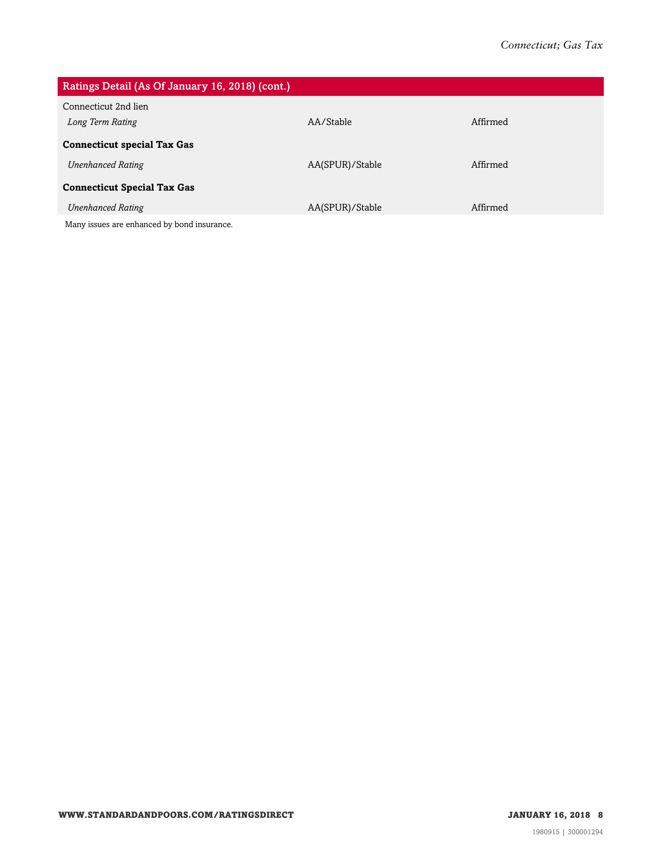| Ratings Detail (As Of January 16, 2018) (cont.) |                 |          |
|-------------------------------------------------|-----------------|----------|
| Connecticut 2nd lien                            |                 |          |
| Long Term Rating                                | AA/Stable       | Affirmed |
| <b>Connecticut special Tax Gas</b>              |                 |          |
| <b>Unenhanced Rating</b>                        | AA(SPUR)/Stable | Affirmed |
| <b>Connecticut Special Tax Gas</b>              |                 |          |
| <b>Unenhanced Rating</b>                        | AA(SPUR)/Stable | Affirmed |
| Many issues are enhanced by bond insurance.     |                 |          |